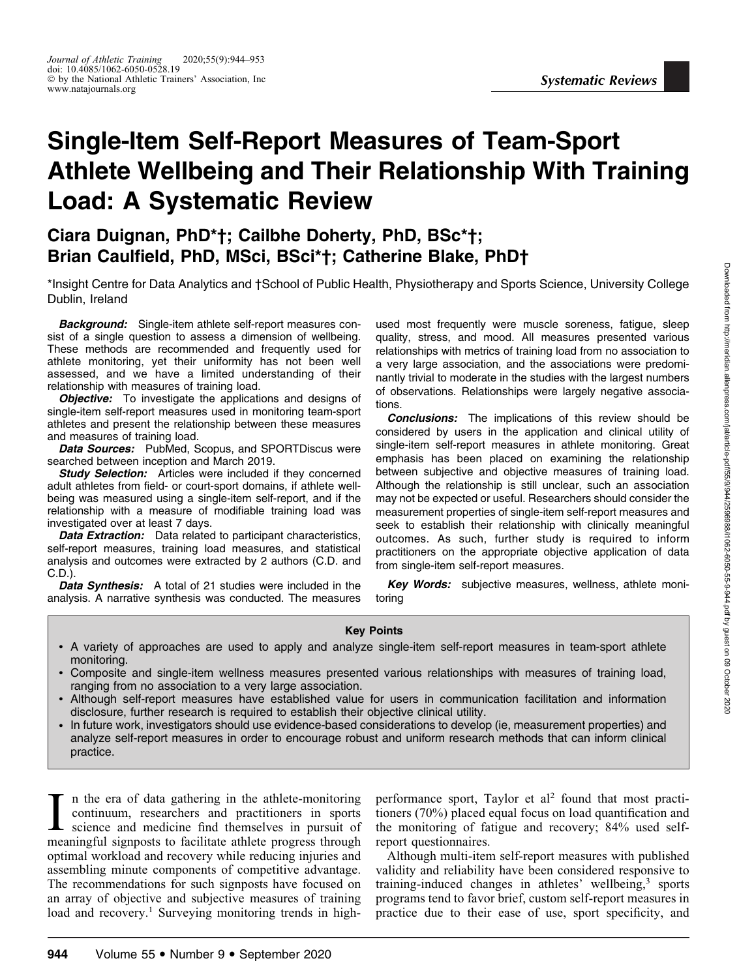# Single-Item Self-Report Measures of Team-Sport Athlete Wellbeing and Their Relationship With Training Load: A Systematic Review

# Ciara Duignan, PhD\*†; Cailbhe Doherty, PhD, BSc\*†; Brian Caulfield, PhD, MSci, BSci\*†; Catherine Blake, PhD†

\*Insight Centre for Data Analytics and †School of Public Health, Physiotherapy and Sports Science, University College Dublin, Ireland

**Background:** Single-item athlete self-report measures consist of a single question to assess a dimension of wellbeing. These methods are recommended and frequently used for athlete monitoring, yet their uniformity has not been well assessed, and we have a limited understanding of their relationship with measures of training load.

**Objective:** To investigate the applications and designs of single-item self-report measures used in monitoring team-sport athletes and present the relationship between these measures and measures of training load.

Data Sources: PubMed, Scopus, and SPORTDiscus were searched between inception and March 2019.

**Study Selection:** Articles were included if they concerned adult athletes from field- or court-sport domains, if athlete wellbeing was measured using a single-item self-report, and if the relationship with a measure of modifiable training load was investigated over at least 7 days.

Data Extraction: Data related to participant characteristics, self-report measures, training load measures, and statistical analysis and outcomes were extracted by 2 authors (C.D. and C.D.).

**Data Synthesis:** A total of 21 studies were included in the analysis. A narrative synthesis was conducted. The measures used most frequently were muscle soreness, fatigue, sleep quality, stress, and mood. All measures presented various relationships with metrics of training load from no association to a very large association, and the associations were predominantly trivial to moderate in the studies with the largest numbers of observations. Relationships were largely negative associations.

Conclusions: The implications of this review should be considered by users in the application and clinical utility of single-item self-report measures in athlete monitoring. Great emphasis has been placed on examining the relationship between subjective and objective measures of training load. Although the relationship is still unclear, such an association may not be expected or useful. Researchers should consider the measurement properties of single-item self-report measures and seek to establish their relationship with clinically meaningful outcomes. As such, further study is required to inform practitioners on the appropriate objective application of data from single-item self-report measures.

Key Words: subjective measures, wellness, athlete monitoring

#### Key Points

- A variety of approaches are used to apply and analyze single-item self-report measures in team-sport athlete monitoring.
- Composite and single-item wellness measures presented various relationships with measures of training load, ranging from no association to a very large association.
- Although self-report measures have established value for users in communication facilitation and information disclosure, further research is required to establish their objective clinical utility.
- In future work, investigators should use evidence-based considerations to develop (ie, measurement properties) and analyze self-report measures in order to encourage robust and uniform research methods that can inform clinical practice.

I in the era of data gathering in the athlete-monitoring continuum, researchers and practitioners in sports science and medicine find themselves in pursuit of meaningful signposts to facilitate athlete progress through n the era of data gathering in the athlete-monitoring continuum, researchers and practitioners in sports science and medicine find themselves in pursuit of optimal workload and recovery while reducing injuries and assembling minute components of competitive advantage. The recommendations for such signposts have focused on an array of objective and subjective measures of training load and recovery.<sup>1</sup> Surveying monitoring trends in highperformance sport, Taylor et  $al^2$  found that most practitioners (70%) placed equal focus on load quantification and the monitoring of fatigue and recovery; 84% used selfreport questionnaires.

Although multi-item self-report measures with published validity and reliability have been considered responsive to training-induced changes in athletes' wellbeing,<sup>3</sup> sports programs tend to favor brief, custom self-report measures in practice due to their ease of use, sport specificity, and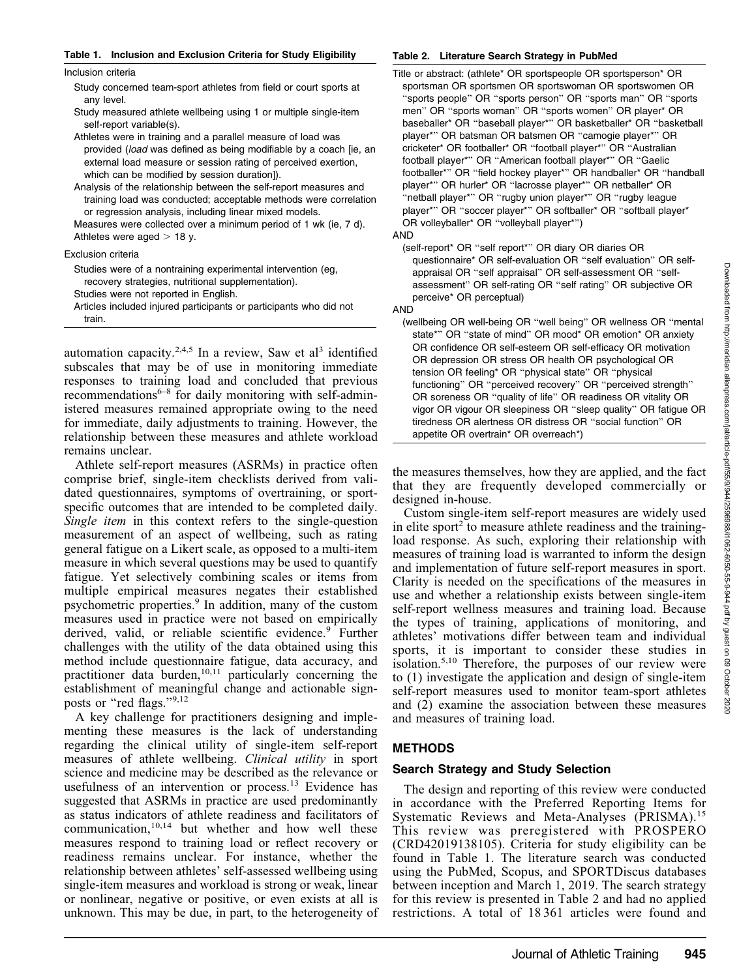#### Table 1. Inclusion and Exclusion Criteria for Study Eligibility

#### Inclusion criteria

Study concerned team-sport athletes from field or court sports at any level.

Study measured athlete wellbeing using 1 or multiple single-item self-report variable(s).

- Athletes were in training and a parallel measure of load was provided (load was defined as being modifiable by a coach [ie, an external load measure or session rating of perceived exertion, which can be modified by session duration]).
- Analysis of the relationship between the self-report measures and training load was conducted; acceptable methods were correlation or regression analysis, including linear mixed models.

Measures were collected over a minimum period of 1 wk (ie, 7 d). Athletes were aged  $>$  18 y.

#### Exclusion criteria

Studies were of a nontraining experimental intervention (eg, recovery strategies, nutritional supplementation). Studies were not reported in English.

Articles included injured participants or participants who did not train.

automation capacity.<sup>2,4,5</sup> In a review, Saw et al<sup>3</sup> identified subscales that may be of use in monitoring immediate responses to training load and concluded that previous recommendations $6-8$  for daily monitoring with self-administered measures remained appropriate owing to the need for immediate, daily adjustments to training. However, the relationship between these measures and athlete workload remains unclear.

Athlete self-report measures (ASRMs) in practice often comprise brief, single-item checklists derived from validated questionnaires, symptoms of overtraining, or sportspecific outcomes that are intended to be completed daily. Single item in this context refers to the single-question measurement of an aspect of wellbeing, such as rating general fatigue on a Likert scale, as opposed to a multi-item measure in which several questions may be used to quantify fatigue. Yet selectively combining scales or items from multiple empirical measures negates their established psychometric properties.9 In addition, many of the custom measures used in practice were not based on empirically derived, valid, or reliable scientific evidence.<sup>9</sup> Further challenges with the utility of the data obtained using this method include questionnaire fatigue, data accuracy, and practitioner data burden, $10,11$  particularly concerning the establishment of meaningful change and actionable signposts or "red flags."9,12

A key challenge for practitioners designing and implementing these measures is the lack of understanding regarding the clinical utility of single-item self-report measures of athlete wellbeing. *Clinical utility* in sport science and medicine may be described as the relevance or usefulness of an intervention or process.<sup>13</sup> Evidence has suggested that ASRMs in practice are used predominantly as status indicators of athlete readiness and facilitators of communication, $10,14$  but whether and how well these measures respond to training load or reflect recovery or readiness remains unclear. For instance, whether the relationship between athletes' self-assessed wellbeing using single-item measures and workload is strong or weak, linear or nonlinear, negative or positive, or even exists at all is unknown. This may be due, in part, to the heterogeneity of

#### Table 2. Literature Search Strategy in PubMed

Title or abstract: (athlete\* OR sportspeople OR sportsperson\* OR sportsman OR sportsmen OR sportswoman OR sportswomen OR ''sports people'' OR ''sports person'' OR ''sports man'' OR ''sports men'' OR ''sports woman'' OR ''sports women'' OR player\* OR baseballer\* OR ''baseball player\*'' OR basketballer\* OR ''basketball player\*'' OR batsman OR batsmen OR ''camogie player\*'' OR cricketer\* OR footballer\* OR ''football player\*'' OR ''Australian football player\*'' OR ''American football player\*'' OR ''Gaelic footballer\*'' OR ''field hockey player\*'' OR handballer\* OR ''handball player\*'' OR hurler\* OR ''lacrosse player\*'' OR netballer\* OR "netball player\*" OR "rugby union player\*" OR "rugby league player\*" OR "soccer player\*" OR softballer\* OR "softball player\* OR volleyballer\* OR ''volleyball player\*'')

AND

(self-report\* OR ''self report\*'' OR diary OR diaries OR questionnaire\* OR self-evaluation OR ''self evaluation'' OR selfappraisal OR ''self appraisal'' OR self-assessment OR ''selfassessment'' OR self-rating OR ''self rating'' OR subjective OR perceive\* OR perceptual)

#### AND

(wellbeing OR well-being OR ''well being'' OR wellness OR ''mental state\*" OR "state of mind" OR mood\* OR emotion\* OR anxiety OR confidence OR self-esteem OR self-efficacy OR motivation OR depression OR stress OR health OR psychological OR tension OR feeling\* OR ''physical state'' OR ''physical functioning'' OR ''perceived recovery'' OR ''perceived strength'' OR soreness OR ''quality of life'' OR readiness OR vitality OR vigor OR vigour OR sleepiness OR ''sleep quality'' OR fatigue OR tiredness OR alertness OR distress OR ''social function'' OR appetite OR overtrain\* OR overreach\*)

the measures themselves, how they are applied, and the fact that they are frequently developed commercially or designed in-house.

Custom single-item self-report measures are widely used in elite sport<sup>2</sup> to measure athlete readiness and the trainingload response. As such, exploring their relationship with measures of training load is warranted to inform the design and implementation of future self-report measures in sport. Clarity is needed on the specifications of the measures in use and whether a relationship exists between single-item self-report wellness measures and training load. Because the types of training, applications of monitoring, and athletes' motivations differ between team and individual sports, it is important to consider these studies in isolation.5,10 Therefore, the purposes of our review were to (1) investigate the application and design of single-item self-report measures used to monitor team-sport athletes and (2) examine the association between these measures and measures of training load.

# METHODS

#### Search Strategy and Study Selection

The design and reporting of this review were conducted in accordance with the Preferred Reporting Items for Systematic Reviews and Meta-Analyses (PRISMA).<sup>15</sup> This review was preregistered with PROSPERO (CRD42019138105). Criteria for study eligibility can be found in Table 1. The literature search was conducted using the PubMed, Scopus, and SPORTDiscus databases between inception and March 1, 2019. The search strategy for this review is presented in Table 2 and had no applied restrictions. A total of 18 361 articles were found and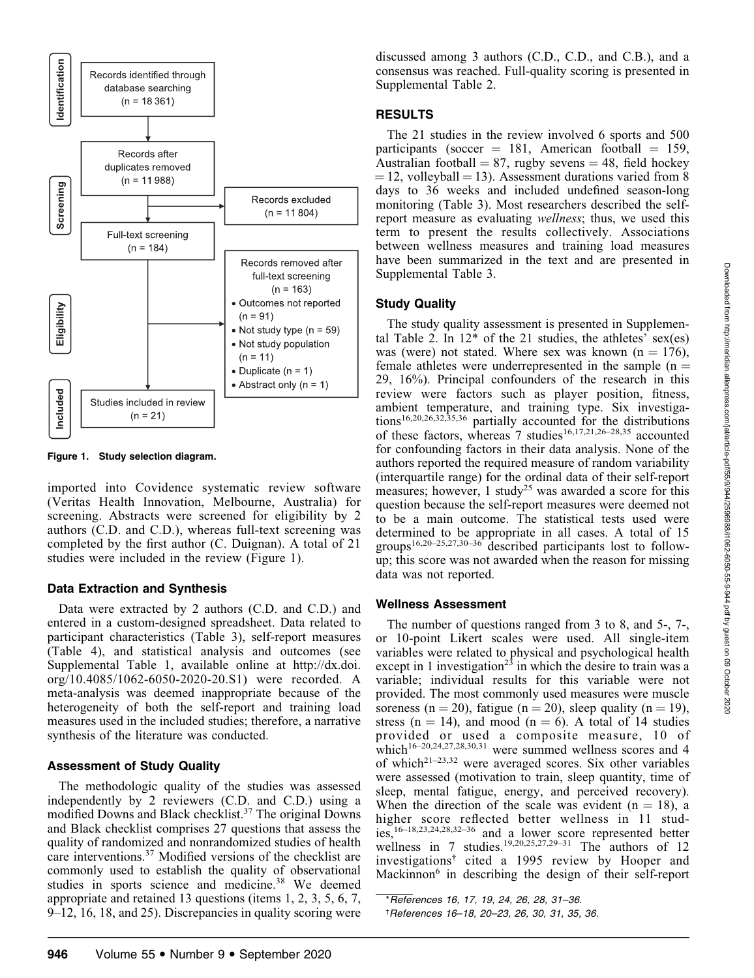

Figure 1. Study selection diagram.

imported into Covidence systematic review software (Veritas Health Innovation, Melbourne, Australia) for screening. Abstracts were screened for eligibility by 2 authors (C.D. and C.D.), whereas full-text screening was completed by the first author (C. Duignan). A total of 21 studies were included in the review (Figure 1).

# Data Extraction and Synthesis

Data were extracted by 2 authors (C.D. and C.D.) and entered in a custom-designed spreadsheet. Data related to participant characteristics (Table 3), self-report measures (Table 4), and statistical analysis and outcomes (see Supplemental Table 1, available online at http://dx.doi. org/10.4085/1062-6050-2020-20.S1) were recorded. A meta-analysis was deemed inappropriate because of the heterogeneity of both the self-report and training load measures used in the included studies; therefore, a narrative synthesis of the literature was conducted.

# Assessment of Study Quality

The methodologic quality of the studies was assessed independently by 2 reviewers (C.D. and C.D.) using a modified Downs and Black checklist.37 The original Downs and Black checklist comprises 27 questions that assess the quality of randomized and nonrandomized studies of health care interventions.37 Modified versions of the checklist are commonly used to establish the quality of observational studies in sports science and medicine.<sup>38</sup> We deemed appropriate and retained 13 questions (items 1, 2, 3, 5, 6, 7, 9–12, 16, 18, and 25). Discrepancies in quality scoring were discussed among 3 authors (C.D., C.D., and C.B.), and a consensus was reached. Full-quality scoring is presented in Supplemental Table 2.

# RESULTS

The 21 studies in the review involved 6 sports and 500 participants (soccer  $= 181$ , American football  $= 159$ , Australian football  $= 87$ , rugby sevens  $= 48$ , field hockey  $= 12$ , volleyball  $= 13$ ). Assessment durations varied from 8 days to 36 weeks and included undefined season-long monitoring (Table 3). Most researchers described the selfreport measure as evaluating wellness; thus, we used this term to present the results collectively. Associations between wellness measures and training load measures have been summarized in the text and are presented in Supplemental Table 3.

# Study Quality

The study quality assessment is presented in Supplemental Table 2. In  $12^*$  of the 21 studies, the athletes' sex(es) was (were) not stated. Where sex was known  $(n = 176)$ , female athletes were underrepresented in the sample  $(n =$ 29, 16%). Principal confounders of the research in this review were factors such as player position, fitness, ambient temperature, and training type. Six investigations16,20,26,32,35,36 partially accounted for the distributions of these factors, whereas 7 studies<sup>16,17,21,26–28,35</sup> accounted for confounding factors in their data analysis. None of the authors reported the required measure of random variability (interquartile range) for the ordinal data of their self-report measures; however, 1 study<sup>25</sup> was awarded a score for this question because the self-report measures were deemed not to be a main outcome. The statistical tests used were determined to be appropriate in all cases. A total of 15 groups16,20–25,27,30–36 described participants lost to followup; this score was not awarded when the reason for missing data was not reported.

# Wellness Assessment

The number of questions ranged from 3 to 8, and 5-, 7-, or 10-point Likert scales were used. All single-item variables were related to physical and psychological health except in 1 investigation<sup>23</sup> in which the desire to train was a variable; individual results for this variable were not provided. The most commonly used measures were muscle soreness (n = 20), fatigue (n = 20), sleep quality (n = 19), stress ( $n = 14$ ), and mood ( $n = 6$ ). A total of 14 studies provided or used a composite measure, 10 of which<sup>16–20,24,27,28,30,31</sup> were summed wellness scores and 4 of which<sup>21–23,32</sup> were averaged scores. Six other variables were assessed (motivation to train, sleep quantity, time of sleep, mental fatigue, energy, and perceived recovery). When the direction of the scale was evident  $(n = 18)$ , a higher score reflected better wellness in 11 studies,16–18,23,24,28,32–36 and a lower score represented better wellness in 7 studies.<sup>19,20,25,27,29–31</sup> The authors of 12 investigations† cited a 1995 review by Hooper and Mackinnon<sup>6</sup> in describing the design of their self-report

\*References 16, 17, 19, 24, 26, 28, 31–36. † References 16–18, 20–23, 26, 30, 31, 35, 36.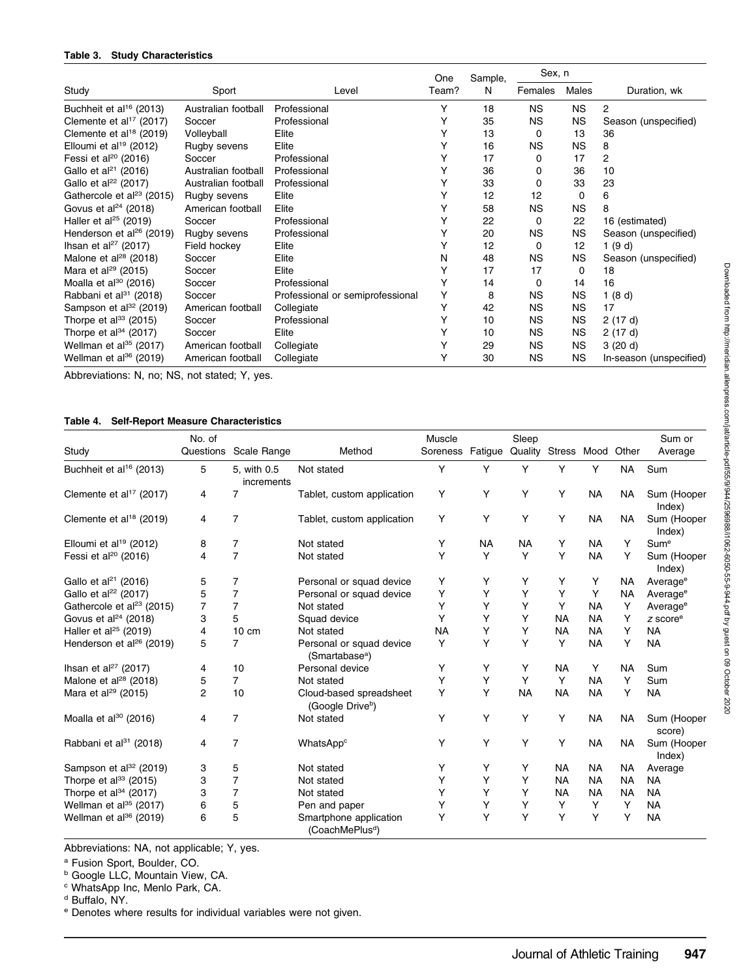#### Table 3. Study Characteristics

| Study                                 |                     |                                  | One   | Sample, | Sex, n    |           |                         |  |
|---------------------------------------|---------------------|----------------------------------|-------|---------|-----------|-----------|-------------------------|--|
|                                       | Sport               | Level                            | Team? | N       | Females   | Males     | Duration, wk            |  |
| Buchheit et al <sup>16</sup> (2013)   | Australian football | Professional                     | Y     | 18      | <b>NS</b> | <b>NS</b> | 2                       |  |
| Clemente et al <sup>17</sup> (2017)   | Soccer              | Professional                     | Υ     | 35      | <b>NS</b> | ΝS        | Season (unspecified)    |  |
| Clemente et al <sup>18</sup> (2019)   | Volleyball          | Elite                            | Υ     | 13      | 0         | 13        | 36                      |  |
| Elloumi et al <sup>19</sup> (2012)    | Rugby sevens        | Elite                            | Υ     | 16      | ΝS        | <b>NS</b> | 8                       |  |
| Fessi et al <sup>20</sup> (2016)      | Soccer              | Professional                     | Υ     | 17      | 0         | 17        | 2                       |  |
| Gallo et al $^{21}$ (2016)            | Australian football | Professional                     | Υ     | 36      | 0         | 36        | 10                      |  |
| Gallo et al <sup>22</sup> (2017)      | Australian football | Professional                     | Υ     | 33      | 0         | 33        | 23                      |  |
| Gathercole et al <sup>23</sup> (2015) | Rugby sevens        | Elite                            | Υ     | 12      | 12        | 0         | 6                       |  |
| Govus et al $^{24}$ (2018)            | American football   | Elite                            | Υ     | 58      | ΝS        | <b>NS</b> | 8                       |  |
| Haller et al <sup>25</sup> (2019)     | Soccer              | Professional                     | Υ     | 22      | 0         | 22        | 16 (estimated)          |  |
| Henderson et al <sup>26</sup> (2019)  | Rugby sevens        | Professional                     | Υ     | 20      | ΝS        | <b>NS</b> | Season (unspecified)    |  |
| Ihsan et al <sup>27</sup> (2017)      | Field hockey        | Elite                            | Υ     | 12      | 0         | 12        | 1 $(9d)$                |  |
| Malone et al <sup>28</sup> (2018)     | Soccer              | Elite                            | N     | 48      | ΝS        | ΝS        | Season (unspecified)    |  |
| Mara et al <sup>29</sup> (2015)       | Soccer              | Elite                            | Υ     | 17      | 17        | 0         | 18                      |  |
| Moalla et al $^{30}$ (2016)           | Soccer              | Professional                     | Υ     | 14      | 0         | 14        | 16                      |  |
| Rabbani et al <sup>31</sup> (2018)    | Soccer              | Professional or semiprofessional | Y     | 8       | ΝS        | <b>NS</b> | 1(8d)                   |  |
| Sampson et al <sup>32</sup> (2019)    | American football   | Collegiate                       | Υ     | 42      | ΝS        | <b>NS</b> | 17                      |  |
| Thorpe et al $^{33}$ (2015)           | Soccer              | Professional                     | Υ     | 10      | <b>NS</b> | <b>NS</b> | 2(17d)                  |  |
| Thorpe et al $34$ (2017)              | Soccer              | Elite                            | Υ     | 10      | <b>NS</b> | ΝS        | 2(17d)                  |  |
| Wellman et al <sup>35</sup> (2017)    | American football   | Collegiate                       | Υ     | 29      | <b>NS</b> | <b>NS</b> | 3(20d)                  |  |
| Wellman et al <sup>36</sup> (2019)    | American football   | Collegiate                       | Υ     | 30      | ΝS        | <b>NS</b> | In-season (unspecified) |  |

Abbreviations: N, no; NS, not stated; Y, yes.

# Table 4. Self-Report Measure Characteristics

| Study                                 | No. of<br>Questions | Scale Range               | Method                                                  | Muscle<br>Soreness | Fatigue Quality Stress Mood | Sleep     |           |           | Other     | Sum or<br>Average     |
|---------------------------------------|---------------------|---------------------------|---------------------------------------------------------|--------------------|-----------------------------|-----------|-----------|-----------|-----------|-----------------------|
|                                       |                     |                           |                                                         |                    |                             |           |           |           |           |                       |
| Buchheit et al <sup>16</sup> (2013)   | 5                   | 5, with 0.5<br>increments | Not stated                                              | Y                  | Υ                           | Y         | Υ         | Y         | <b>NA</b> | Sum                   |
| Clemente et al <sup>17</sup> (2017)   | 4                   | 7                         | Tablet, custom application                              | Y                  | Y                           | Y         | Υ         | <b>NA</b> | <b>NA</b> | Sum (Hooper<br>Index) |
| Clemente et al <sup>18</sup> (2019)   | 4                   | $\overline{7}$            | Tablet, custom application                              | Υ                  | Y                           | Y         | Υ         | <b>NA</b> | <b>NA</b> | Sum (Hooper<br>Index) |
| Elloumi et al <sup>19</sup> (2012)    | 8                   | 7                         | Not stated                                              | Υ                  | <b>NA</b>                   | <b>NA</b> | Y         | <b>NA</b> | Υ         | Sume                  |
| Fessi et al <sup>20</sup> (2016)      | 4                   | $\overline{7}$            | Not stated                                              | Υ                  | Y                           | Y         | Y         | <b>NA</b> | Y         | Sum (Hooper<br>Index) |
| Gallo et $al^{21}$ (2016)             | 5                   | 7                         | Personal or squad device                                | Υ                  | Y                           | Y         | Υ         | Y         | <b>NA</b> | Average <sup>e</sup>  |
| Gallo et al <sup>22</sup> (2017)      | 5                   | $\overline{7}$            | Personal or squad device                                | Υ                  | Y                           | Υ         | Υ         | Y         | <b>NA</b> | Average <sup>e</sup>  |
| Gathercole et al <sup>23</sup> (2015) | 7                   | $\overline{7}$            | Not stated                                              | Y                  | Y                           | Y         | Υ         | <b>NA</b> | Y         | Average <sup>e</sup>  |
| Govus et $al24$ (2018)                | 3                   | 5                         | Squad device                                            | Υ                  | Y                           | Υ         | <b>NA</b> | <b>NA</b> | Υ         | z score <sup>e</sup>  |
| Haller et al <sup>25</sup> (2019)     | 4                   | $10 \text{ cm}$           | Not stated                                              | <b>NA</b>          | Y                           | Y         | <b>NA</b> | <b>NA</b> | Y         | <b>NA</b>             |
| Henderson et al <sup>26</sup> (2019)  | 5                   | 7                         | Personal or squad device<br>(Smartabase <sup>a</sup> )  | Y                  | Y                           | Y         | Y         | <b>NA</b> | Υ         | <b>NA</b>             |
| Ihsan et al <sup>27</sup> (2017)      | 4                   | 10                        | Personal device                                         | Υ                  | Y                           | Υ         | <b>NA</b> | Y         | <b>NA</b> | Sum                   |
| Malone et al <sup>28</sup> (2018)     | 5                   | 7                         | Not stated                                              | Y                  | Y                           | Y         | Υ         | <b>NA</b> | Υ         | Sum                   |
| Mara et al <sup>29</sup> (2015)       | $\overline{c}$      | 10                        | Cloud-based spreadsheet<br>(Google Drive <sup>b</sup> ) | Y                  | Y                           | <b>NA</b> | <b>NA</b> | <b>NA</b> | Y         | <b>NA</b>             |
| Moalla et al <sup>30</sup> (2016)     | 4                   | 7                         | Not stated                                              | Υ                  | Y                           | Y         | Y         | <b>NA</b> | <b>NA</b> | Sum (Hooper<br>score) |
| Rabbani et al <sup>31</sup> (2018)    | 4                   | 7                         | WhatsAppc                                               | Υ                  | Y                           | Y         | Y         | <b>NA</b> | <b>NA</b> | Sum (Hooper<br>Index) |
| Sampson et al <sup>32</sup> (2019)    | 3                   | 5                         | Not stated                                              | Y                  | Y                           | Y         | <b>NA</b> | <b>NA</b> | NA        | Average               |
| Thorpe et al $^{33}$ (2015)           | 3                   | 7                         | Not stated                                              | Υ                  | Y                           | Υ         | <b>NA</b> | <b>NA</b> | <b>NA</b> | <b>NA</b>             |
| Thorpe et al $^{34}$ (2017)           | 3                   | $\overline{7}$            | Not stated                                              | Υ                  | Y                           | Y         | <b>NA</b> | <b>NA</b> | <b>NA</b> | <b>NA</b>             |
| Wellman et al <sup>35</sup> (2017)    | 6                   | 5                         | Pen and paper                                           | Υ                  | Υ                           | Υ         | Υ         | Y         | Y         | <b>NA</b>             |
| Wellman et al <sup>36</sup> (2019)    | 6                   | 5                         | Smartphone application<br>(CoachMePlus <sup>d</sup> )   | Υ                  | Y                           | Y         | Y         | Y         | Υ         | <b>NA</b>             |

Abbreviations: NA, not applicable; Y, yes.

<sup>a</sup> Fusion Sport, Boulder, CO.

**b Google LLC, Mountain View, CA.** 

<sup>c</sup> WhatsApp Inc, Menlo Park, CA.

<sup>d</sup> Buffalo, NY.

<sup>e</sup> Denotes where results for individual variables were not given.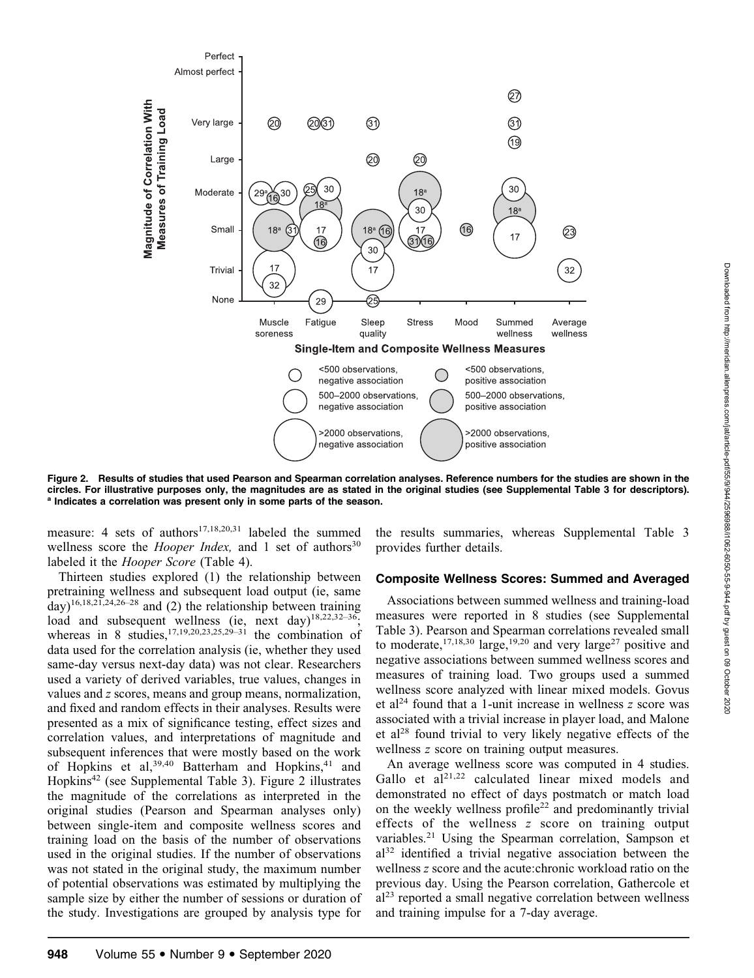

Figure 2. Results of studies that used Pearson and Spearman correlation analyses. Reference numbers for the studies are shown in the circles. For illustrative purposes only, the magnitudes are as stated in the original studies (see Supplemental Table 3 for descriptors). <sup>a</sup> Indicates a correlation was present only in some parts of the season.

measure: 4 sets of authors<sup>17,18,20,31</sup> labeled the summed wellness score the *Hooper Index*, and 1 set of authors<sup>30</sup> labeled it the *Hooper Score* (Table 4).

Thirteen studies explored (1) the relationship between pretraining wellness and subsequent load output (ie, same  $day)$ <sup>16,18,21,24,26–28</sup> and (2) the relationship between training load and subsequent wellness (ie, next day)<sup>18,22,32-36</sup>; whereas in 8 studies,  $17,19,20,23,25,29-31$  the combination of data used for the correlation analysis (ie, whether they used same-day versus next-day data) was not clear. Researchers used a variety of derived variables, true values, changes in values and z scores, means and group means, normalization, and fixed and random effects in their analyses. Results were presented as a mix of significance testing, effect sizes and correlation values, and interpretations of magnitude and subsequent inferences that were mostly based on the work of Hopkins et al,  $39,40$  Batterham and Hopkins,  $41$  and Hopkins42 (see Supplemental Table 3). Figure 2 illustrates the magnitude of the correlations as interpreted in the original studies (Pearson and Spearman analyses only) between single-item and composite wellness scores and training load on the basis of the number of observations used in the original studies. If the number of observations was not stated in the original study, the maximum number of potential observations was estimated by multiplying the sample size by either the number of sessions or duration of the study. Investigations are grouped by analysis type for the results summaries, whereas Supplemental Table 3 provides further details.

# Composite Wellness Scores: Summed and Averaged

Associations between summed wellness and training-load measures were reported in 8 studies (see Supplemental Table 3). Pearson and Spearman correlations revealed small to moderate,  $17,18,30$  large,  $19,20$  and very large<sup>27</sup> positive and negative associations between summed wellness scores and measures of training load. Two groups used a summed wellness score analyzed with linear mixed models. Govus et al<sup>24</sup> found that a 1-unit increase in wellness  $z$  score was associated with a trivial increase in player load, and Malone et al<sup>28</sup> found trivial to very likely negative effects of the wellness *z* score on training output measures.

An average wellness score was computed in 4 studies. Gallo et  $aI^{21,22}$  calculated linear mixed models and demonstrated no effect of days postmatch or match load on the weekly wellness profile<sup>22</sup> and predominantly trivial effects of the wellness z score on training output variables.<sup>21</sup> Using the Spearman correlation, Sampson et  $a^{32}$  identified a trivial negative association between the wellness z score and the acute:chronic workload ratio on the previous day. Using the Pearson correlation, Gathercole et  $al<sup>23</sup>$  reported a small negative correlation between wellness and training impulse for a 7-day average.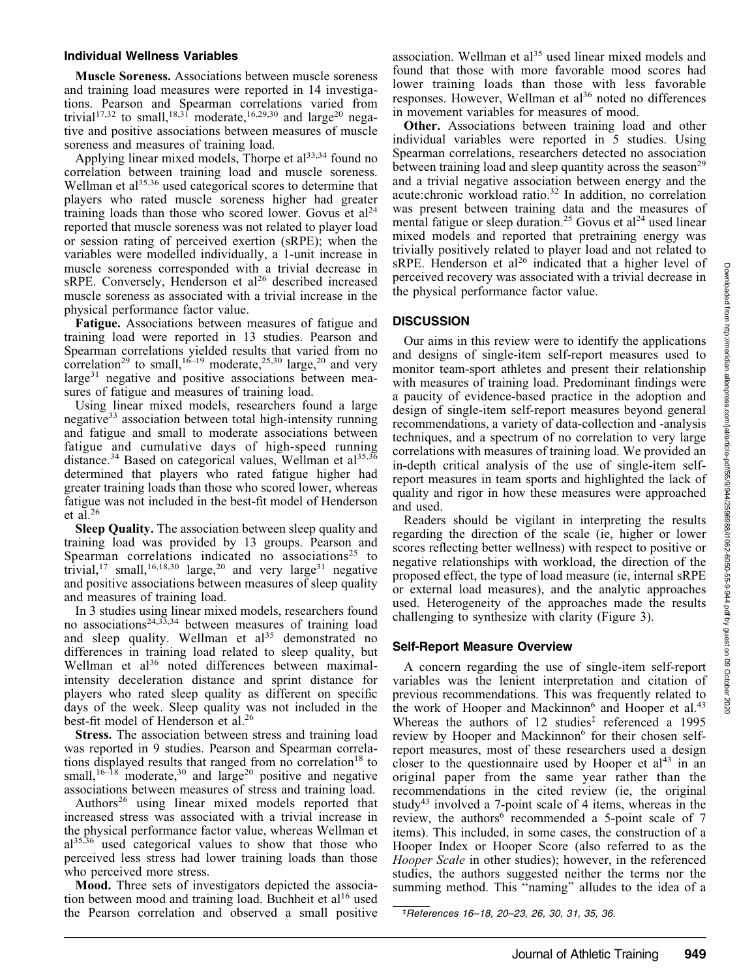## Individual Wellness Variables

Muscle Soreness. Associations between muscle soreness and training load measures were reported in 14 investigations. Pearson and Spearman correlations varied from trivial<sup>17,32</sup> to small,<sup>18,31</sup> moderate,<sup>16,29,30</sup> and large<sup>20</sup> negative and positive associations between measures of muscle soreness and measures of training load.

Applying linear mixed models, Thorpe et  $al<sup>33,34</sup>$  found no correlation between training load and muscle soreness. Wellman et al<sup>35,36</sup> used categorical scores to determine that players who rated muscle soreness higher had greater training loads than those who scored lower. Govus et  $al<sup>24</sup>$ reported that muscle soreness was not related to player load or session rating of perceived exertion (sRPE); when the variables were modelled individually, a 1-unit increase in muscle soreness corresponded with a trivial decrease in sRPE. Conversely, Henderson et al<sup>26</sup> described increased muscle soreness as associated with a trivial increase in the physical performance factor value.

Fatigue. Associations between measures of fatigue and training load were reported in 13 studies. Pearson and Spearman correlations yielded results that varied from no correlation<sup>29</sup> to small,<sup>16–19</sup> moderate,<sup>25,30</sup> large,<sup>20</sup> and very large<sup>31</sup> negative and positive associations between measures of fatigue and measures of training load.

Using linear mixed models, researchers found a large negative<sup>33</sup> association between total high-intensity running and fatigue and small to moderate associations between fatigue and cumulative days of high-speed running distance.<sup>34</sup> Based on categorical values, Wellman et al<sup>35,36</sup> determined that players who rated fatigue higher had greater training loads than those who scored lower, whereas fatigue was not included in the best-fit model of Henderson et al.<sup>26</sup>

Sleep Quality. The association between sleep quality and training load was provided by 13 groups. Pearson and Spearman correlations indicated no associations<sup>25</sup> to trivial,<sup>17</sup> small,<sup>16,18,30</sup> large,<sup>20</sup> and very large<sup>31</sup> negative and positive associations between measures of sleep quality and measures of training load.

In 3 studies using linear mixed models, researchers found no associations<sup>24,33,34</sup> between measures of training load and sleep quality. Wellman et al<sup>35</sup> demonstrated no differences in training load related to sleep quality, but Wellman et al<sup>36</sup> noted differences between maximalintensity deceleration distance and sprint distance for players who rated sleep quality as different on specific days of the week. Sleep quality was not included in the best-fit model of Henderson et al.<sup>26</sup>

Stress. The association between stress and training load was reported in 9 studies. Pearson and Spearman correlations displayed results that ranged from no correlation<sup>18</sup> to small, $16-\frac{18}{18}$  moderate, $30$  and large $20$  positive and negative associations between measures of stress and training load.

Authors<sup>26</sup> using linear mixed models reported that increased stress was associated with a trivial increase in the physical performance factor value, whereas Wellman et  $al^{35,36}$  used categorical values to show that those who perceived less stress had lower training loads than those who perceived more stress.

Mood. Three sets of investigators depicted the association between mood and training load. Buchheit et al<sup>16</sup> used the Pearson correlation and observed a small positive association. Wellman et al<sup>35</sup> used linear mixed models and found that those with more favorable mood scores had lower training loads than those with less favorable responses. However, Wellman et al<sup>36</sup> noted no differences in movement variables for measures of mood.

Other. Associations between training load and other individual variables were reported in 5 studies. Using Spearman correlations, researchers detected no association between training load and sleep quantity across the season<sup>29</sup> and a trivial negative association between energy and the acute:chronic workload ratio.<sup>32</sup> In addition, no correlation was present between training data and the measures of mental fatigue or sleep duration.<sup>25</sup> Govus et al<sup>24</sup> used linear mixed models and reported that pretraining energy was trivially positively related to player load and not related to sRPE. Henderson et al<sup>26</sup> indicated that a higher level of perceived recovery was associated with a trivial decrease in the physical performance factor value.

# **DISCUSSION**

Our aims in this review were to identify the applications and designs of single-item self-report measures used to monitor team-sport athletes and present their relationship with measures of training load. Predominant findings were a paucity of evidence-based practice in the adoption and design of single-item self-report measures beyond general recommendations, a variety of data-collection and -analysis techniques, and a spectrum of no correlation to very large correlations with measures of training load. We provided an in-depth critical analysis of the use of single-item selfreport measures in team sports and highlighted the lack of quality and rigor in how these measures were approached and used.

Readers should be vigilant in interpreting the results regarding the direction of the scale (ie, higher or lower scores reflecting better wellness) with respect to positive or negative relationships with workload, the direction of the proposed effect, the type of load measure (ie, internal sRPE or external load measures), and the analytic approaches used. Heterogeneity of the approaches made the results challenging to synthesize with clarity (Figure 3).

# Self-Report Measure Overview

A concern regarding the use of single-item self-report variables was the lenient interpretation and citation of previous recommendations. This was frequently related to the work of Hooper and Mackinnon<sup>6</sup> and Hooper et al.<sup>43</sup> Whereas the authors of 12 studies<sup>‡</sup> referenced a 1995 review by Hooper and Mackinnon<sup>6</sup> for their chosen selfreport measures, most of these researchers used a design closer to the questionnaire used by Hooper et  $al<sup>43</sup>$  in an original paper from the same year rather than the recommendations in the cited review (ie, the original study<sup>43</sup> involved a 7-point scale of 4 items, whereas in the review, the authors<sup>6</sup> recommended a 5-point scale of  $7$ items). This included, in some cases, the construction of a Hooper Index or Hooper Score (also referred to as the Hooper Scale in other studies); however, in the referenced studies, the authors suggested neither the terms nor the summing method. This "naming" alludes to the idea of a

‡ References 16–18, 20–23, 26, 30, 31, 35, 36.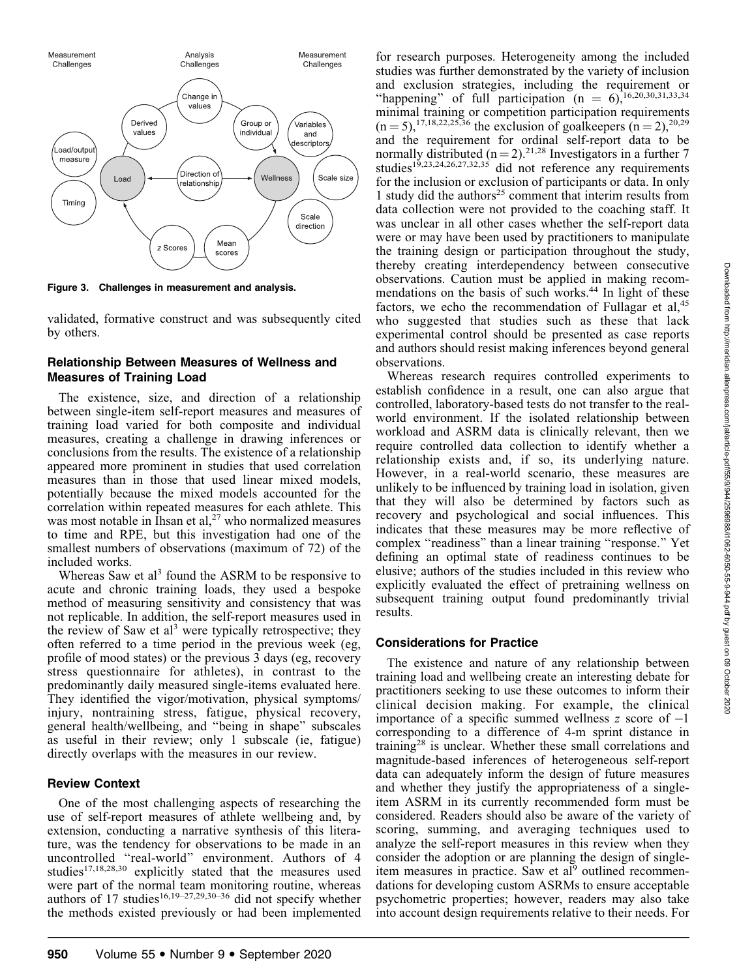

Figure 3. Challenges in measurement and analysis.

validated, formative construct and was subsequently cited by others.

# Relationship Between Measures of Wellness and Measures of Training Load

The existence, size, and direction of a relationship between single-item self-report measures and measures of training load varied for both composite and individual measures, creating a challenge in drawing inferences or conclusions from the results. The existence of a relationship appeared more prominent in studies that used correlation measures than in those that used linear mixed models, potentially because the mixed models accounted for the correlation within repeated measures for each athlete. This was most notable in Ihsan et al,<sup>27</sup> who normalized measures to time and RPE, but this investigation had one of the smallest numbers of observations (maximum of 72) of the included works.

Whereas Saw et al<sup>3</sup> found the ASRM to be responsive to acute and chronic training loads, they used a bespoke method of measuring sensitivity and consistency that was not replicable. In addition, the self-report measures used in the review of Saw et al<sup>3</sup> were typically retrospective; they often referred to a time period in the previous week (eg, profile of mood states) or the previous 3 days (eg, recovery stress questionnaire for athletes), in contrast to the predominantly daily measured single-items evaluated here. They identified the vigor/motivation, physical symptoms/ injury, nontraining stress, fatigue, physical recovery, general health/wellbeing, and ''being in shape'' subscales as useful in their review; only 1 subscale (ie, fatigue) directly overlaps with the measures in our review.

# Review Context

One of the most challenging aspects of researching the use of self-report measures of athlete wellbeing and, by extension, conducting a narrative synthesis of this literature, was the tendency for observations to be made in an uncontrolled ''real-world'' environment. Authors of 4 studies $17,18,28,30$  explicitly stated that the measures used were part of the normal team monitoring routine, whereas authors of 17 studies<sup>16,19–27,29,30–36</sup> did not specify whether the methods existed previously or had been implemented for research purposes. Heterogeneity among the included studies was further demonstrated by the variety of inclusion and exclusion strategies, including the requirement or "happening" of full participation  $(n = 6)$ ,<sup>16,20,30,31,33,34</sup> minimal training or competition participation requirements  $(n = 5)$ ,<sup>17,18,22,25,36</sup> the exclusion of goalkeepers  $(n = 2)$ ,<sup>20,29</sup> and the requirement for ordinal self-report data to be normally distributed ( $n = 2$ ).<sup>21,28</sup> Investigators in a further 7 studies<sup>15,23,24,26,27,32,35</sup> did not reference any requirements for the inclusion or exclusion of participants or data. In only 1 study did the authors<sup>25</sup> comment that interim results from data collection were not provided to the coaching staff. It was unclear in all other cases whether the self-report data were or may have been used by practitioners to manipulate the training design or participation throughout the study, thereby creating interdependency between consecutive observations. Caution must be applied in making recommendations on the basis of such works.<sup>44</sup> In light of these factors, we echo the recommendation of Fullagar et al, $45$ who suggested that studies such as these that lack experimental control should be presented as case reports and authors should resist making inferences beyond general observations.

Whereas research requires controlled experiments to establish confidence in a result, one can also argue that controlled, laboratory-based tests do not transfer to the realworld environment. If the isolated relationship between workload and ASRM data is clinically relevant, then we require controlled data collection to identify whether a relationship exists and, if so, its underlying nature. However, in a real-world scenario, these measures are unlikely to be influenced by training load in isolation, given that they will also be determined by factors such as recovery and psychological and social influences. This indicates that these measures may be more reflective of complex ''readiness'' than a linear training ''response.'' Yet defining an optimal state of readiness continues to be elusive; authors of the studies included in this review who explicitly evaluated the effect of pretraining wellness on subsequent training output found predominantly trivial results.

# Considerations for Practice

The existence and nature of any relationship between training load and wellbeing create an interesting debate for practitioners seeking to use these outcomes to inform their clinical decision making. For example, the clinical importance of a specific summed wellness  $z$  score of  $-1$ corresponding to a difference of 4-m sprint distance in training<sup>28</sup> is unclear. Whether these small correlations and magnitude-based inferences of heterogeneous self-report data can adequately inform the design of future measures and whether they justify the appropriateness of a singleitem ASRM in its currently recommended form must be considered. Readers should also be aware of the variety of scoring, summing, and averaging techniques used to analyze the self-report measures in this review when they consider the adoption or are planning the design of singleitem measures in practice. Saw et al<sup>9</sup> outlined recommendations for developing custom ASRMs to ensure acceptable psychometric properties; however, readers may also take into account design requirements relative to their needs. For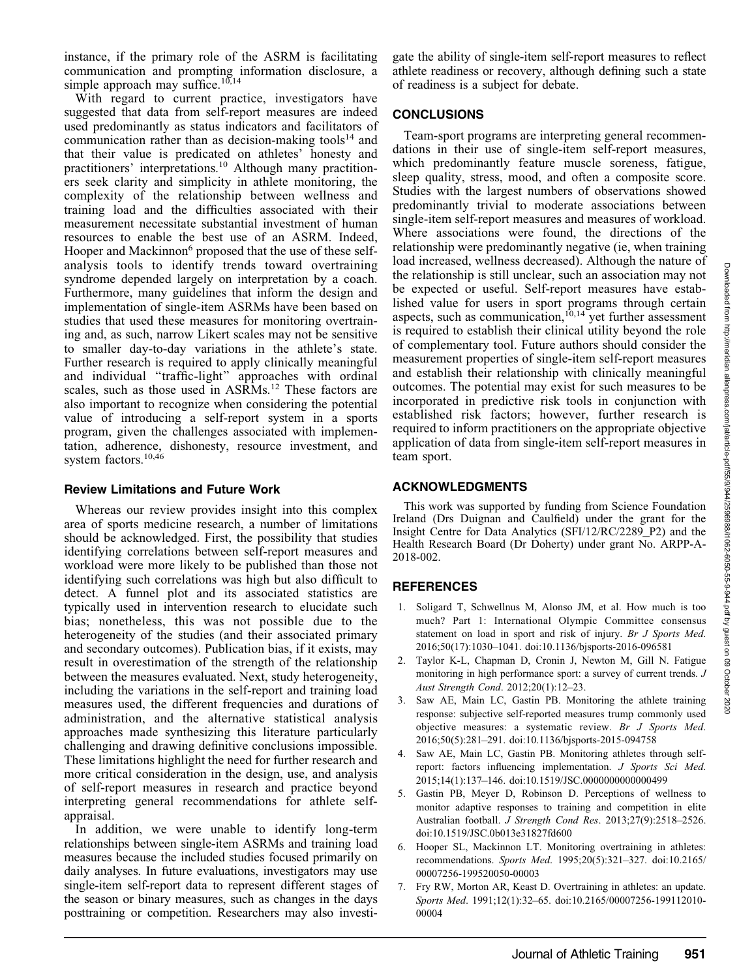instance, if the primary role of the ASRM is facilitating communication and prompting information disclosure, a simple approach may suffice.<sup>10,14</sup>

With regard to current practice, investigators have suggested that data from self-report measures are indeed used predominantly as status indicators and facilitators of communication rather than as decision-making tools<sup>14</sup> and that their value is predicated on athletes' honesty and practitioners' interpretations.<sup>10</sup> Although many practitioners seek clarity and simplicity in athlete monitoring, the complexity of the relationship between wellness and training load and the difficulties associated with their measurement necessitate substantial investment of human resources to enable the best use of an ASRM. Indeed, Hooper and Mackinnon<sup>6</sup> proposed that the use of these selfanalysis tools to identify trends toward overtraining syndrome depended largely on interpretation by a coach. Furthermore, many guidelines that inform the design and implementation of single-item ASRMs have been based on studies that used these measures for monitoring overtraining and, as such, narrow Likert scales may not be sensitive to smaller day-to-day variations in the athlete's state. Further research is required to apply clinically meaningful and individual "traffic-light" approaches with ordinal scales, such as those used in ASRMs.<sup>12</sup> These factors are also important to recognize when considering the potential value of introducing a self-report system in a sports program, given the challenges associated with implementation, adherence, dishonesty, resource investment, and system factors.10,46

#### Review Limitations and Future Work

Whereas our review provides insight into this complex area of sports medicine research, a number of limitations should be acknowledged. First, the possibility that studies identifying correlations between self-report measures and workload were more likely to be published than those not identifying such correlations was high but also difficult to detect. A funnel plot and its associated statistics are typically used in intervention research to elucidate such bias; nonetheless, this was not possible due to the heterogeneity of the studies (and their associated primary and secondary outcomes). Publication bias, if it exists, may result in overestimation of the strength of the relationship between the measures evaluated. Next, study heterogeneity, including the variations in the self-report and training load measures used, the different frequencies and durations of administration, and the alternative statistical analysis approaches made synthesizing this literature particularly challenging and drawing definitive conclusions impossible. These limitations highlight the need for further research and more critical consideration in the design, use, and analysis of self-report measures in research and practice beyond interpreting general recommendations for athlete selfappraisal.

In addition, we were unable to identify long-term relationships between single-item ASRMs and training load measures because the included studies focused primarily on daily analyses. In future evaluations, investigators may use single-item self-report data to represent different stages of the season or binary measures, such as changes in the days posttraining or competition. Researchers may also investigate the ability of single-item self-report measures to reflect athlete readiness or recovery, although defining such a state of readiness is a subject for debate.

## **CONCLUSIONS**

Team-sport programs are interpreting general recommendations in their use of single-item self-report measures, which predominantly feature muscle soreness, fatigue, sleep quality, stress, mood, and often a composite score. Studies with the largest numbers of observations showed predominantly trivial to moderate associations between single-item self-report measures and measures of workload. Where associations were found, the directions of the relationship were predominantly negative (ie, when training load increased, wellness decreased). Although the nature of the relationship is still unclear, such an association may not be expected or useful. Self-report measures have established value for users in sport programs through certain aspects, such as communication, $10,14$  yet further assessment is required to establish their clinical utility beyond the role of complementary tool. Future authors should consider the measurement properties of single-item self-report measures and establish their relationship with clinically meaningful outcomes. The potential may exist for such measures to be incorporated in predictive risk tools in conjunction with established risk factors; however, further research is required to inform practitioners on the appropriate objective application of data from single-item self-report measures in team sport.

#### ACKNOWLEDGMENTS

This work was supported by funding from Science Foundation Ireland (Drs Duignan and Caulfield) under the grant for the Insight Centre for Data Analytics (SFI/12/RC/2289\_P2) and the Health Research Board (Dr Doherty) under grant No. ARPP-A-2018-002.

#### **REFERENCES**

- 1. Soligard T, Schwellnus M, Alonso JM, et al. How much is too much? Part 1: International Olympic Committee consensus statement on load in sport and risk of injury. Br J Sports Med. 2016;50(17):1030–1041. doi:10.1136/bjsports-2016-096581
- 2. Taylor K-L, Chapman D, Cronin J, Newton M, Gill N. Fatigue monitoring in high performance sport: a survey of current trends. J Aust Strength Cond. 2012;20(1):12–23.
- 3. Saw AE, Main LC, Gastin PB. Monitoring the athlete training response: subjective self-reported measures trump commonly used objective measures: a systematic review. Br J Sports Med. 2016;50(5):281–291. doi:10.1136/bjsports-2015-094758
- 4. Saw AE, Main LC, Gastin PB. Monitoring athletes through selfreport: factors influencing implementation. J Sports Sci Med. 2015;14(1):137–146. doi:10.1519/JSC.0000000000000499
- 5. Gastin PB, Meyer D, Robinson D. Perceptions of wellness to monitor adaptive responses to training and competition in elite Australian football. J Strength Cond Res. 2013;27(9):2518–2526. doi:10.1519/JSC.0b013e31827fd600
- 6. Hooper SL, Mackinnon LT. Monitoring overtraining in athletes: recommendations. Sports Med. 1995;20(5):321–327. doi:10.2165/ 00007256-199520050-00003
- 7. Fry RW, Morton AR, Keast D. Overtraining in athletes: an update. Sports Med. 1991;12(1):32–65. doi:10.2165/00007256-199112010- 00004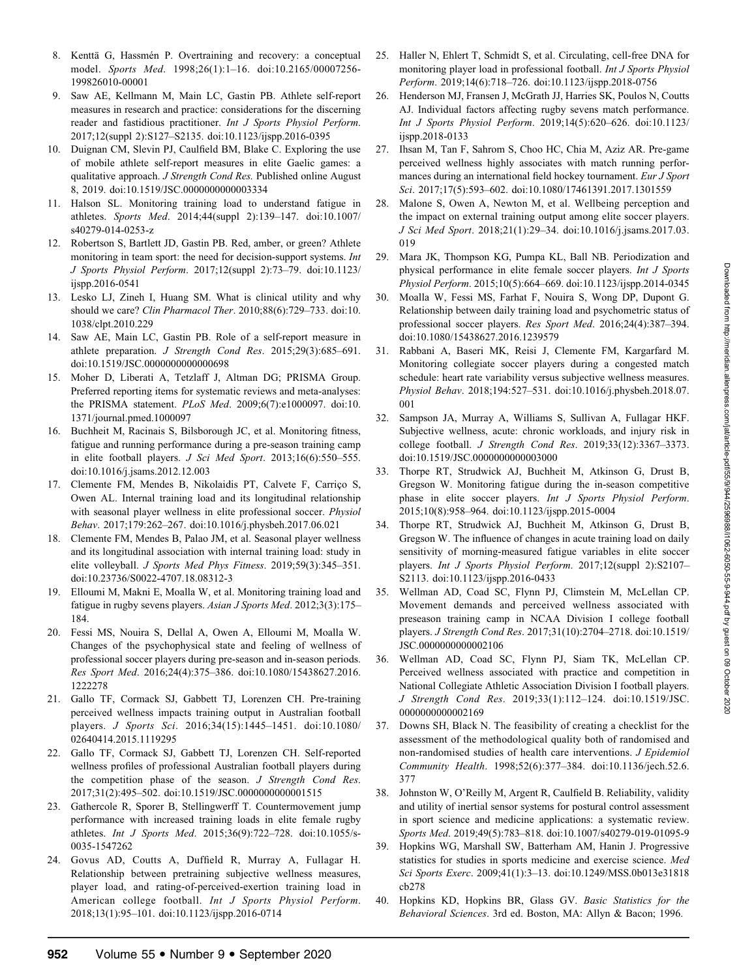- 8. Kenttä G, Hassmén P. Overtraining and recovery: a conceptual model. Sports Med. 1998;26(1):1–16. doi:10.2165/00007256- 199826010-00001
- 9. Saw AE, Kellmann M, Main LC, Gastin PB. Athlete self-report measures in research and practice: considerations for the discerning reader and fastidious practitioner. Int J Sports Physiol Perform. 2017;12(suppl 2):S127–S2135. doi:10.1123/ijspp.2016-0395
- 10. Duignan CM, Slevin PJ, Caulfield BM, Blake C. Exploring the use of mobile athlete self-report measures in elite Gaelic games: a qualitative approach. J Strength Cond Res. Published online August 8, 2019. doi:10.1519/JSC.0000000000003334
- 11. Halson SL. Monitoring training load to understand fatigue in athletes. Sports Med. 2014;44(suppl 2):139–147. doi:10.1007/ s40279-014-0253-z
- 12. Robertson S, Bartlett JD, Gastin PB. Red, amber, or green? Athlete monitoring in team sport: the need for decision-support systems. Int J Sports Physiol Perform. 2017;12(suppl 2):73–79. doi:10.1123/ ijspp.2016-0541
- 13. Lesko LJ, Zineh I, Huang SM. What is clinical utility and why should we care? Clin Pharmacol Ther. 2010;88(6):729–733. doi:10. 1038/clpt.2010.229
- 14. Saw AE, Main LC, Gastin PB. Role of a self-report measure in athlete preparation. J Strength Cond Res. 2015;29(3):685–691. doi:10.1519/JSC.0000000000000698
- 15. Moher D, Liberati A, Tetzlaff J, Altman DG; PRISMA Group. Preferred reporting items for systematic reviews and meta-analyses: the PRISMA statement. PLoS Med. 2009;6(7):e1000097. doi:10. 1371/journal.pmed.1000097
- 16. Buchheit M, Racinais S, Bilsborough JC, et al. Monitoring fitness, fatigue and running performance during a pre-season training camp in elite football players. J Sci Med Sport. 2013;16(6):550–555. doi:10.1016/j.jsams.2012.12.003
- 17. Clemente FM, Mendes B, Nikolaidis PT, Calvete F, Carriço S, Owen AL. Internal training load and its longitudinal relationship with seasonal player wellness in elite professional soccer. Physiol Behav. 2017;179:262–267. doi:10.1016/j.physbeh.2017.06.021
- 18. Clemente FM, Mendes B, Palao JM, et al. Seasonal player wellness and its longitudinal association with internal training load: study in elite volleyball. J Sports Med Phys Fitness. 2019;59(3):345–351. doi:10.23736/S0022-4707.18.08312-3
- 19. Elloumi M, Makni E, Moalla W, et al. Monitoring training load and fatigue in rugby sevens players. Asian J Sports Med. 2012;3(3):175– 184.
- 20. Fessi MS, Nouira S, Dellal A, Owen A, Elloumi M, Moalla W. Changes of the psychophysical state and feeling of wellness of professional soccer players during pre-season and in-season periods. Res Sport Med. 2016;24(4):375–386. doi:10.1080/15438627.2016. 1222278
- 21. Gallo TF, Cormack SJ, Gabbett TJ, Lorenzen CH. Pre-training perceived wellness impacts training output in Australian football players. J Sports Sci. 2016;34(15):1445–1451. doi:10.1080/ 02640414.2015.1119295
- 22. Gallo TF, Cormack SJ, Gabbett TJ, Lorenzen CH. Self-reported wellness profiles of professional Australian football players during the competition phase of the season. J Strength Cond Res. 2017;31(2):495–502. doi:10.1519/JSC.0000000000001515
- 23. Gathercole R, Sporer B, Stellingwerff T. Countermovement jump performance with increased training loads in elite female rugby athletes. Int J Sports Med. 2015;36(9):722–728. doi:10.1055/s-0035-1547262
- 24. Govus AD, Coutts A, Duffield R, Murray A, Fullagar H. Relationship between pretraining subjective wellness measures, player load, and rating-of-perceived-exertion training load in American college football. Int J Sports Physiol Perform. 2018;13(1):95–101. doi:10.1123/ijspp.2016-0714
- 25. Haller N, Ehlert T, Schmidt S, et al. Circulating, cell-free DNA for monitoring player load in professional football. Int J Sports Physiol Perform. 2019;14(6):718–726. doi:10.1123/ijspp.2018-0756
- 26. Henderson MJ, Fransen J, McGrath JJ, Harries SK, Poulos N, Coutts AJ. Individual factors affecting rugby sevens match performance. Int J Sports Physiol Perform. 2019;14(5):620–626. doi:10.1123/ ijspp.2018-0133
- 27. Ihsan M, Tan F, Sahrom S, Choo HC, Chia M, Aziz AR. Pre-game perceived wellness highly associates with match running performances during an international field hockey tournament. Eur J Sport Sci. 2017;17(5):593–602. doi:10.1080/17461391.2017.1301559
- 28. Malone S, Owen A, Newton M, et al. Wellbeing perception and the impact on external training output among elite soccer players. J Sci Med Sport. 2018;21(1):29–34. doi:10.1016/j.jsams.2017.03. 019
- 29. Mara JK, Thompson KG, Pumpa KL, Ball NB. Periodization and physical performance in elite female soccer players. Int J Sports Physiol Perform. 2015;10(5):664–669. doi:10.1123/ijspp.2014-0345
- 30. Moalla W, Fessi MS, Farhat F, Nouira S, Wong DP, Dupont G. Relationship between daily training load and psychometric status of professional soccer players. Res Sport Med. 2016;24(4):387–394. doi:10.1080/15438627.2016.1239579
- 31. Rabbani A, Baseri MK, Reisi J, Clemente FM, Kargarfard M. Monitoring collegiate soccer players during a congested match schedule: heart rate variability versus subjective wellness measures. Physiol Behav. 2018;194:527–531. doi:10.1016/j.physbeh.2018.07. 001
- 32. Sampson JA, Murray A, Williams S, Sullivan A, Fullagar HKF. Subjective wellness, acute: chronic workloads, and injury risk in college football. J Strength Cond Res. 2019;33(12):3367–3373. doi:10.1519/JSC.0000000000003000
- 33. Thorpe RT, Strudwick AJ, Buchheit M, Atkinson G, Drust B, Gregson W. Monitoring fatigue during the in-season competitive phase in elite soccer players. Int J Sports Physiol Perform. 2015;10(8):958–964. doi:10.1123/ijspp.2015-0004
- 34. Thorpe RT, Strudwick AJ, Buchheit M, Atkinson G, Drust B, Gregson W. The influence of changes in acute training load on daily sensitivity of morning-measured fatigue variables in elite soccer players. Int J Sports Physiol Perform. 2017;12(suppl 2):S2107– S2113. doi:10.1123/ijspp.2016-0433
- 35. Wellman AD, Coad SC, Flynn PJ, Climstein M, McLellan CP. Movement demands and perceived wellness associated with preseason training camp in NCAA Division I college football players. J Strength Cond Res. 2017;31(10):2704–2718. doi:10.1519/ JSC.0000000000002106
- 36. Wellman AD, Coad SC, Flynn PJ, Siam TK, McLellan CP. Perceived wellness associated with practice and competition in National Collegiate Athletic Association Division I football players. J Strength Cond Res. 2019;33(1):112–124. doi:10.1519/JSC. 0000000000002169
- 37. Downs SH, Black N. The feasibility of creating a checklist for the assessment of the methodological quality both of randomised and non-randomised studies of health care interventions. J Epidemiol Community Health. 1998;52(6):377–384. doi:10.1136/jech.52.6. 377
- 38. Johnston W, O'Reilly M, Argent R, Caulfield B. Reliability, validity and utility of inertial sensor systems for postural control assessment in sport science and medicine applications: a systematic review. Sports Med. 2019;49(5):783–818. doi:10.1007/s40279-019-01095-9
- 39. Hopkins WG, Marshall SW, Batterham AM, Hanin J. Progressive statistics for studies in sports medicine and exercise science. Med Sci Sports Exerc. 2009;41(1):3–13. doi:10.1249/MSS.0b013e31818 cb278
- 40. Hopkins KD, Hopkins BR, Glass GV. Basic Statistics for the Behavioral Sciences. 3rd ed. Boston, MA: Allyn & Bacon; 1996.